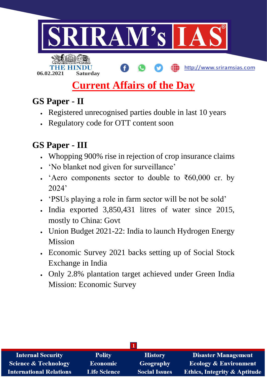

**06.02.2021 Saturday**

### http://www.sriramsias.com

# **Current Affairs of the Day**

## **GS Paper - II**

- Registered unrecognised parties double in last 10 years
- Regulatory code for OTT content soon

## **GS Paper - III**

- Whopping 900% rise in rejection of crop insurance claims
- 'No blanket nod given for surveillance'
- $\cdot$  'Aero components sector to double to ₹60,000 cr. by 2024'
- 'PSUs playing a role in farm sector will be not be sold'
- India exported 3,850,431 litres of water since 2015, mostly to China: Govt
- Union Budget 2021-22: India to launch Hydrogen Energy Mission
- Economic Survey 2021 backs setting up of Social Stock Exchange in India
- Only 2.8% plantation target achieved under Green India Mission: Economic Survey

| <b>Internal Security</b>        | <b>Polity</b>       | <b>History</b>       | <b>Disaster Management</b>              |  |
|---------------------------------|---------------------|----------------------|-----------------------------------------|--|
| <b>Science &amp; Technology</b> | <b>Economic</b>     | Geography            | <b>Ecology &amp; Environment</b>        |  |
| <b>International Relations</b>  | <b>Life Science</b> | <b>Social Issues</b> | <b>Ethics, Integrity &amp; Aptitude</b> |  |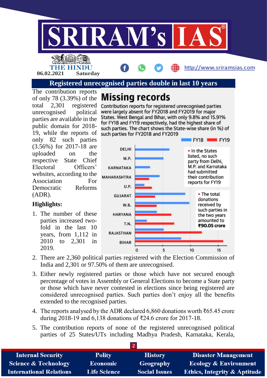

#### **Registered unrecognised parties double in last 10 years**

The contribution reports of only 78 (3.39%) of the total 2,301 registered unrecognised political parties are available in the public domain for 2018- 19, while the reports of only 82 such parties (3.56%) for 2017-18 are uploaded on the respective State Chief Electoral Officers' websites, according to the Association For Democratic Reforms (ADR).

**06.02.2021 Saturday**

#### **Highlights:**

1. The number of these parties increased twofold in the last 10 years, from 1,112 in 2010 to 2,301 in 2019.

## **Missing records**

Contribution reports for registered unrecognised parties were largely absent for FY2018 and FY2019 for major States. West Bengal and Bihar, with only 9.8% and 15.91% for FY18 and FY19 respectively, had the highest share of such parties. The chart shows the State-wise share (in %) of such parties for FY2018 and FY2019



- 2. There are 2,360 political parties registered with the Election Commission of India and 2,301 or 97.50% of them are unrecognised.
- 3. Either newly registered parties or those which have not secured enough percentage of votes in Assembly or General Elections to become a State party or those which have never contested in elections since being registered are considered unrecognised parties. Such parties don't enjoy all the benefits extended to the recognised parties.
- 4. The reports analysed by the ADR declared 6,860 donations worth ₹65.45 crore during 2018-19 and 6,138 donations of ₹24.6 crore for 2017-18.
- 5. The contribution reports of none of the registered unrecognised political parties of 25 States/UTs including Madhya Pradesh, Karnataka, Kerala,

| <b>Internal Security</b>        | <b>Polity</b>       | <b>History</b>       | <b>Disaster Management</b>              |
|---------------------------------|---------------------|----------------------|-----------------------------------------|
| <b>Science &amp; Technology</b> | <b>Economic</b>     | <b>Geography</b>     | <b>Ecology &amp; Environment</b>        |
| <b>International Relations</b>  | <b>Life Science</b> | <b>Social Issues</b> | <b>Ethics, Integrity &amp; Aptitude</b> |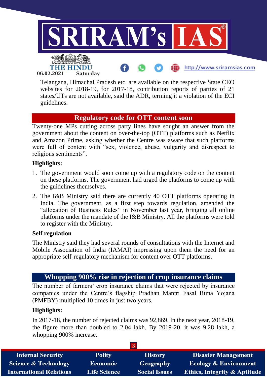

Telangana, Himachal Pradesh etc. are available on the respective State CEO websites for 2018-19, for 2017-18, contribution reports of parties of 21 states/UTs are not available, said the ADR, terming it a violation of the ECI guidelines.

### **Regulatory code for OTT content soon**

Twenty-one MPs cutting across party lines have sought an answer from the government about the content on over-the-top (OTT) platforms such as Netflix and Amazon Prime, asking whether the Centre was aware that such platforms were full of content with "sex, violence, abuse, vulgarity and disrespect to religious sentiments".

#### **Highlights:**

- 1. The government would soon come up with a regulatory code on the content on these platforms. The government had urged the platforms to come up with the guidelines themselves.
- 2. The I&B Ministry said there are currently 40 OTT platforms operating in India. The government, as a first step towards regulation, amended the "allocation of Business Rules" in November last year, bringing all online platforms under the mandate of the I&B Ministry. All the platforms were told to register with the Ministry.

#### **Self regulation**

The Ministry said they had several rounds of consultations with the Internet and Mobile Association of India (IAMAI) impressing upon them the need for an appropriate self-regulatory mechanism for content over OTT platforms.

## **Whopping 900% rise in rejection of crop insurance claims**

The number of farmers' crop insurance claims that were rejected by insurance companies under the Centre's flagship Pradhan Mantri Fasal Bima Yojana (PMFBY) multiplied 10 times in just two years.

#### **Highlights:**

In 2017-18, the number of rejected claims was 92,869. In the next year, 2018-19, the figure more than doubled to 2.04 lakh. By 2019-20, it was 9.28 lakh, a whopping 900% increase.

| <b>Internal Security</b>        | <b>Polity</b>       | <b>History</b>       | <b>Disaster Management</b>              |  |
|---------------------------------|---------------------|----------------------|-----------------------------------------|--|
| <b>Science &amp; Technology</b> | <b>Economic</b>     | Geography            | <b>Ecology &amp; Environment</b>        |  |
| <b>International Relations</b>  | <b>Life Science</b> | <b>Social Issues</b> | <b>Ethics, Integrity &amp; Aptitude</b> |  |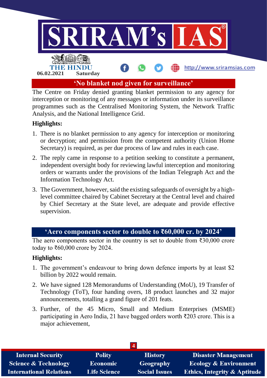

The Centre on Friday denied granting blanket permission to any agency for interception or monitoring of any messages or information under its surveillance programmes such as the Centralised Monitoring System, the Network Traffic Analysis, and the National Intelligence Grid.

#### **Highlights:**

- 1. There is no blanket permission to any agency for interception or monitoring or decryption; and permission from the competent authority (Union Home Secretary) is required, as per due process of law and rules in each case.
- 2. The reply came in response to a petition seeking to constitute a permanent, independent oversight body for reviewing lawful interception and monitoring orders or warrants under the provisions of the Indian Telegraph Act and the Information Technology Act.
- 3. The Government, however, said the existing safeguards of oversight by a highlevel committee chaired by Cabinet Secretary at the Central level and chaired by Chief Secretary at the State level, are adequate and provide effective supervision.

#### **'Aero components sector to double to ₹60,000 cr. by 2024'**

The aero components sector in the country is set to double from ₹30,000 crore today to ₹60,000 crore by 2024.

#### **Highlights:**

- 1. The government's endeavour to bring down defence imports by at least \$2 billion by 2022 would remain.
- 2. We have signed 128 Memorandums of Understanding (MoU), 19 Transfer of Technology (ToT), four handing overs, 18 product launches and 32 major announcements, totalling a grand figure of 201 feats.
- 3. Further, of the 45 Micro, Small and Medium Enterprises (MSME) participating in Aero India, 21 have bagged orders worth ₹203 crore. This is a major achievement,

| <b>Internal Security</b>        | <b>Polity</b>       | <b>History</b>       | <b>Disaster Management</b>              |  |
|---------------------------------|---------------------|----------------------|-----------------------------------------|--|
| <b>Science &amp; Technology</b> | <b>Economic</b>     | Geography            | <b>Ecology &amp; Environment</b>        |  |
| <b>International Relations</b>  | <b>Life Science</b> | <b>Social Issues</b> | <b>Ethics, Integrity &amp; Aptitude</b> |  |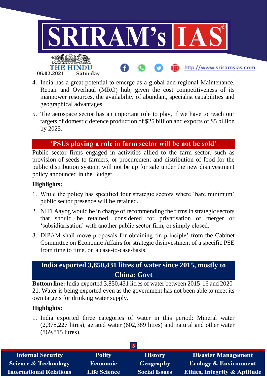

- 4. India has a great potential to emerge as a global and regional Maintenance, Repair and Overhaul (MRO) hub, given the cost competitiveness of its manpower resources, the availability of abundant, specialist capabilities and geographical advantages.
- 5. The aerospace sector has an important role to play, if we have to reach our targets of domestic defence production of \$25 billion and exports of \$5 billion by 2025.

#### **'PSUs playing a role in farm sector will be not be sold'**

Public sector firms engaged in activities allied to the farm sector, such as provision of seeds to farmers, or procurement and distribution of food for the public distribution system, will not be up for sale under the new disinvestment policy announced in the Budget.

#### **Highlights:**

- 1. While the policy has specified four strategic sectors where 'bare minimum' public sector presence will be retained.
- 2. NITI Aayog would be in charge of recommending the firms in strategic sectors that should be retained, considered for privatisation or merger or 'subsidiarisation' with another public sector firm, or simply closed.
- 3. DIPAM shall move proposals for obtaining 'in-principle' from the Cabinet Committee on Economic Affairs for strategic disinvestment of a specific PSE from time to time, on a case-to-case-basis.

## **India exported 3,850,431 litres of water since 2015, mostly to China: Govt**

**Bottom line:** India exported 3,850,431 litres of water between 2015-16 and 2020- 21. Water is being exported even as the government has not been able to meet its own targets for drinking water supply.

#### **Highlights:**

1. India exported three categories of water in this period: Mineral water (2,378,227 litres), aerated water (602,389 litres) and natural and other water (869,815 litres).

| <b>Internal Security</b>        | <b>Polity</b>       | <b>History</b>       | <b>Disaster Management</b>              |
|---------------------------------|---------------------|----------------------|-----------------------------------------|
| <b>Science &amp; Technology</b> | <b>Economic</b>     | Geography            | <b>Ecology &amp; Environment</b>        |
| <b>International Relations</b>  | <b>Life Science</b> | <b>Social Issues</b> | <b>Ethics, Integrity &amp; Aptitude</b> |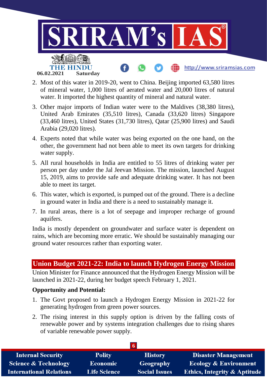

- 2. Most of this water in 2019-20, went to China. Beijing imported 63,580 litres of mineral water, 1,000 litres of aerated water and 20,000 litres of natural water. It imported the highest quantity of mineral and natural water.
- 3. Other major imports of Indian water were to the Maldives (38,380 litres), United Arab Emirates (35,510 litres), Canada (33,620 litres) Singapore (33,460 litres), United States (31,730 litres), Qatar (25,900 litres) and Saudi Arabia (29,020 litres).
- 4. Experts noted that while water was being exported on the one hand, on the other, the government had not been able to meet its own targets for drinking water supply.
- 5. All rural households in India are entitled to 55 litres of drinking water per person per day under the Jal Jeevan Mission. The mission, launched August 15, 2019, aims to provide safe and adequate drinking water. It has not been able to meet its target.
- 6. This water, which is exported, is pumped out of the ground. There is a decline in ground water in India and there is a need to sustainably manage it.
- 7. In rural areas, there is a lot of seepage and improper recharge of ground aquifers.

India is mostly dependent on groundwater and surface water is dependent on rains, which are becoming more erratic. We should be sustainably managing our ground water resources rather than exporting water.

### **Union Budget 2021-22: India to launch Hydrogen Energy Mission**

Union Minister for Finance announced that the Hydrogen Energy Mission will be launched in 2021-22, during her budget speech February 1, 2021.

#### **Opportunity and Potential:**

- 1. The Govt proposed to launch a Hydrogen Energy Mission in 2021-22 for generating hydrogen from green power sources.
- 2. The rising interest in this supply option is driven by the falling costs of renewable power and by systems integration challenges due to rising shares of variable renewable power supply.

| <b>Internal Security</b>        | <b>Polity</b>       | <b>History</b>       | <b>Disaster Management</b>              |
|---------------------------------|---------------------|----------------------|-----------------------------------------|
| <b>Science &amp; Technology</b> | <b>Economic</b>     | Geography            | Ecology & Environment                   |
| <b>International Relations</b>  | <b>Life Science</b> | <b>Social Issues</b> | <b>Ethics, Integrity &amp; Aptitude</b> |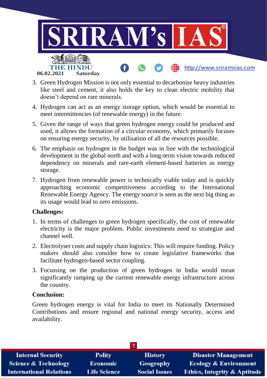

- 3. Green Hydrogen Mission is not only essential to decarbonise heavy industries like steel and cement, it also holds the key to clean electric mobility that doesn't depend on rare minerals.
- 4. Hydrogen can act as an energy storage option, which would be essential to meet intermittencies (of renewable energy) in the future.
- 5. Given the range of ways that green hydrogen energy could be produced and used, it allows the formation of a circular economy, which primarily focuses on ensuring energy security, by utilisation of all the resources possible.
- 6. The emphasis on hydrogen in the budget was in line with the technological development in the global north and with a long-term vision towards reduced dependency on minerals and rare-earth element-based batteries as energy storage.
- 7. Hydrogen from renewable power is technically viable today and is quickly approaching economic competitiveness according to the International Renewable Energy Agency. The energy source is seen as the next big thing as its usage would lead to zero emissions.

#### **Challenges:**

- 1. In terms of challenges to green hydrogen specifically, the cost of renewable electricity is the major problem. Public investments need to strategize and channel well.
- 2. Electrolyser costs and supply chain logistics: This will require funding. Policy makers should also consider how to create legislative frameworks that facilitate hydrogen-based sector coupling.
- 3. Focussing on the production of green hydrogen in India would mean significantly ramping up the current renewable energy infrastructure across the country.

#### **Conclusion:**

Green hydrogen energy is vital for India to meet its Nationally Determined Contributions and ensure regional and national energy security, access and availability.

| <b>Internal Security</b>        | <b>Polity</b>       | <b>History</b>       | <b>Disaster Management</b>              |
|---------------------------------|---------------------|----------------------|-----------------------------------------|
| <b>Science &amp; Technology</b> | <b>Economic</b>     | Geography            | <b>Ecology &amp; Environment</b>        |
| <b>International Relations</b>  | <b>Life Science</b> | <b>Social Issues</b> | <b>Ethics, Integrity &amp; Aptitude</b> |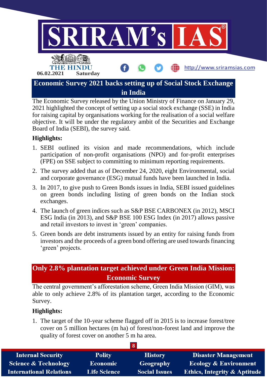

The Economic Survey released by the Union Ministry of Finance on January 29, 2021 highlighted the concept of setting up a social stock exchange (SSE) in India for raising capital by organisations working for the realisation of a social welfare objective. It will be under the regulatory ambit of the Securities and Exchange Board of India (SEBI), the survey said.

#### **Highlights:**

- 1. SEBI outlined its vision and made recommendations, which include participation of non-profit organisations (NPO) and for-profit enterprises (FPE) on SSE subject to committing to minimum reporting requirements.
- 2. The survey added that as of December 24, 2020, eight Environmental, social and corporate governance (ESG) mutual funds have been launched in India.
- 3. In 2017, to give push to Green Bonds issues in India, SEBI issued guidelines on green bonds including listing of green bonds on the Indian stock exchanges.
- 4. The launch of green indices such as S&P BSE CARBONEX (in 2012), MSCI ESG India (in 2013), and S&P BSE 100 ESG Index (in 2017) allows passive and retail investors to invest in 'green' companies.
- 5. Green bonds are debt instruments issued by an entity for raising funds from investors and the proceeds of a green bond offering are used towards financing 'green' projects.

## **Only 2.8% plantation target achieved under Green India Mission: Economic Survey**

The central government's afforestation scheme, Green India Mission (GIM), was able to only achieve 2.8% of its plantation target, according to the Economic Survey.

#### **Highlights:**

1. The target of the 10-year scheme flagged off in 2015 is to increase forest/tree cover on 5 million hectares (m ha) of forest/non-forest land and improve the quality of forest cover on another 5 m ha area.

| <b>Internal Security</b>        | <b>Polity</b>       | <b>History</b>       | <b>Disaster Management</b>              |
|---------------------------------|---------------------|----------------------|-----------------------------------------|
| <b>Science &amp; Technology</b> | <b>Economic</b>     | Geography            | <b>Ecology &amp; Environment</b>        |
| <b>International Relations</b>  | <b>Life Science</b> | <b>Social Issues</b> | <b>Ethics, Integrity &amp; Aptitude</b> |